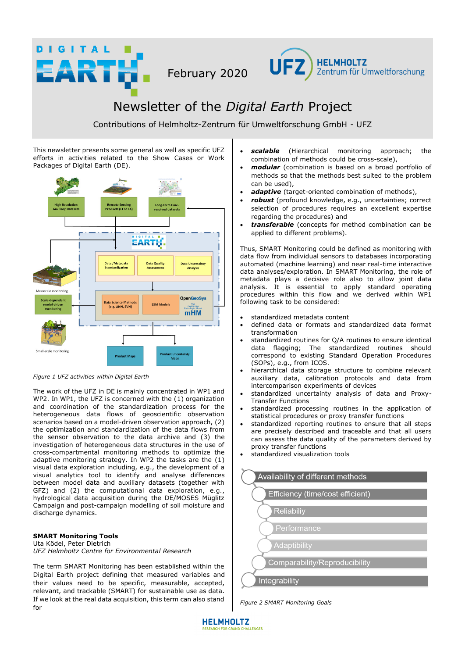



# Newsletter of the *Digital Earth* Project

Contributions of Helmholtz-Zentrum für Umweltforschung GmbH - UFZ

This newsletter presents some general as well as specific UFZ efforts in activities related to the Show Cases or Work Packages of Digital Earth (DE).

**DIGITAL** 

RTH



*Figure 1 UFZ activities within Digital Earth* 

The work of the UFZ in DE is mainly concentrated in WP1 and WP2. In WP1, the UFZ is concerned with the (1) organization and coordination of the standardization process for the heterogeneous data flows of geoscientific observation scenarios based on a model-driven observation approach, (2) the optimization and standardization of the data flows from the sensor observation to the data archive and (3) the investigation of heterogeneous data structures in the use of cross-compartmental monitoring methods to optimize the adaptive monitoring strategy. In WP2 the tasks are the (1) visual data exploration including, e.g., the development of a visual analytics tool to identify and analyse differences between model data and auxiliary datasets (together with GFZ) and (2) the computational data exploration, e.g., hydrological data acquisition during the DE/MOSES Müglitz Campaign and post-campaign modelling of soil moisture and discharge dynamics.

# **SMART Monitoring Tools**

Uta Ködel, Peter Dietrich *UFZ Helmholtz Centre for Environmental Research* 

The term SMART Monitoring has been established within the Digital Earth project defining that measured variables and their values need to be specific, measurable, accepted, relevant, and trackable (SMART) for sustainable use as data. If we look at the real data acquisition, this term can also stand for

- scalable (Hierarchical monitoring approach; the combination of methods could be cross-scale),
- *modular* (combination is based on a broad portfolio of methods so that the methods best suited to the problem can be used),
- *adaptive* (target-oriented combination of methods),
- *robust* (profound knowledge, e.g., uncertainties; correct selection of procedures requires an excellent expertise regarding the procedures) and
- *transferable* (concepts for method combination can be applied to different problems).

Thus, SMART Monitoring could be defined as monitoring with data flow from individual sensors to databases incorporating automated (machine learning) and near real-time interactive data analyses/exploration. In SMART Monitoring, the role of metadata plays a decisive role also to allow joint data analysis. It is essential to apply standard operating procedures within this flow and we derived within WP1 following task to be considered:

- standardized metadata content
- defined data or formats and standardized data format transformation
- standardized routines for Q/A routines to ensure identical data flagging; The standardized routines should correspond to existing Standard Operation Procedures (SOPs), e.g., from ICOS.
- hierarchical data storage structure to combine relevant auxiliary data, calibration protocols and data from intercomparison experiments of devices
- standardized uncertainty analysis of data and Proxy-Transfer Functions
- standardized processing routines in the application of statistical procedures or proxy transfer functions
- standardized reporting routines to ensure that all steps are precisely described and traceable and that all users can assess the data quality of the parameters derived by proxy transfer functions
- standardized visualization tools



*Figure 2 SMART Monitoring Goals* 

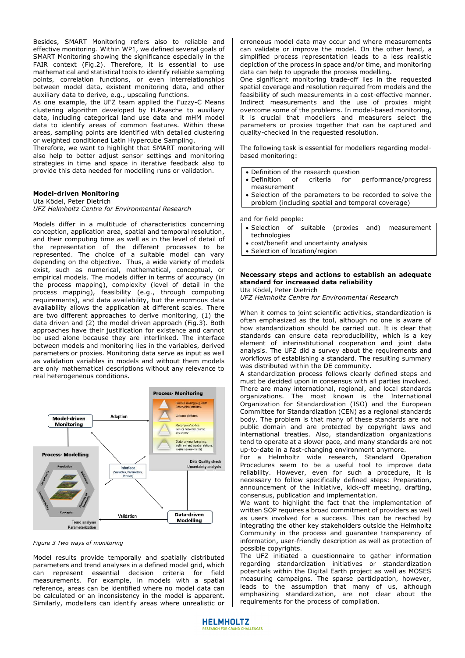Besides, SMART Monitoring refers also to reliable and effective monitoring. Within WP1, we defined several goals of SMART Monitoring showing the significance especially in the FAIR context (Fig.2). Therefore, it is essential to use mathematical and statistical tools to identify reliable sampling points, correlation functions, or even interrelationships between model data, existent monitoring data, and other auxiliary data to derive, e.g., upscaling functions.

As one example, the UFZ team applied the Fuzzy-C Means clustering algorithm developed by H.Paasche to auxiliary data, including categorical land use data and mHM model data to identify areas of common features. Within these areas, sampling points are identified with detailed clustering or weighted conditioned Latin Hypercube Sampling.

Therefore, we want to highlight that SMART monitoring will also help to better adjust sensor settings and monitoring strategies in time and space in iterative feedback also to provide this data needed for modelling runs or validation.

## **Model-driven Monitoring**

Uta Ködel, Peter Dietrich *UFZ Helmholtz Centre for Environmental Research* 

Models differ in a multitude of characteristics concerning conception, application area, spatial and temporal resolution, and their computing time as well as in the level of detail of the representation of the different processes to be represented. The choice of a suitable model can vary depending on the objective. Thus, a wide variety of models exist, such as numerical, mathematical, conceptual, or empirical models. The models differ in terms of accuracy (in the process mapping), complexity (level of detail in the process mapping), feasibility (e.g., through computing requirements), and data availability, but the enormous data availability allows the application at different scales. There are two different approaches to derive monitoring, (1) the data driven and (2) the model driven approach (Fig.3). Both approaches have their justification for existence and cannot be used alone because they are interlinked. The interface between models and monitoring lies in the variables, derived parameters or proxies. Monitoring data serve as input as well as validation variables in models and without them models are only mathematical descriptions without any relevance to real heterogeneous conditions.



*Figure 3 Two ways of monitoring*

Model results provide temporally and spatially distributed parameters and trend analyses in a defined model grid, which can represent essential decision criteria for field measurements. For example, in models with a spatial reference, areas can be identified where no model data can be calculated or an inconsistency in the model is apparent. Similarly, modellers can identify areas where unrealistic or erroneous model data may occur and where measurements can validate or improve the model. On the other hand, a simplified process representation leads to a less realistic depiction of the process in space and/or time, and monitoring data can help to upgrade the process modelling.

One significant monitoring trade-off lies in the requested spatial coverage and resolution required from models and the feasibility of such measurements in a cost-effective manner. Indirect measurements and the use of proxies might overcome some of the problems. In model-based monitoring, it is crucial that modellers and measurers select the parameters or proxies together that can be captured and quality-checked in the requested resolution.

The following task is essential for modellers regarding modelbased monitoring:

• Definition of the research question

- Definition of criteria for performance/progress measurement
- Selection of the parameters to be recorded to solve the problem (including spatial and temporal coverage)

and for field people:

- Selection of suitable (proxies and) measurement technologies
- cost/benefit and uncertainty analysis
- Selection of location/region

#### **Necessary steps and actions to establish an adequate standard for increased data reliability**  Uta Ködel, Peter Dietrich

*UFZ Helmholtz Centre for Environmental Research* 

When it comes to joint scientific activities, standardization is often emphasized as the tool, although no one is aware of how standardization should be carried out. It is clear that standards can ensure data reproducibility, which is a key element of interinstitutional cooperation and joint data analysis. The UFZ did a survey about the requirements and workflows of establishing a standard. The resulting summary was distributed within the DE community.

A standardization process follows clearly defined steps and must be decided upon in consensus with all parties involved. There are many international, regional, and local standards organizations. The most known is the International Organization for Standardization (ISO) and the European Committee for Standardization (CEN) as a regional standards body. The problem is that many of these standards are not public domain and are protected by copyright laws and international treaties. Also, standardization organizations tend to operate at a slower pace, and many standards are not up-to-date in a fast-changing environment anymore.

For a Helmholtz wide research, Standard Operation Procedures seem to be a useful tool to improve data reliability. However, even for such a procedure, it is necessary to follow specifically defined steps: Preparation, announcement of the initiative, kick-off meeting, drafting, consensus, publication and implementation.

We want to highlight the fact that the implementation of written SOP requires a broad commitment of providers as well as users involved for a success. This can be reached by integrating the other key stakeholders outside the Helmholtz Community in the process and guarantee transparency of information, user-friendly description as well as protection of possible copyrights.

The UFZ initiated a questionnaire to gather information regarding standardization initiatives or standardization potentials within the Digital Earth project as well as MOSES measuring campaigns. The sparse participation, however, leads to the assumption that many of us, although emphasizing standardization, are not clear about the requirements for the process of compilation.

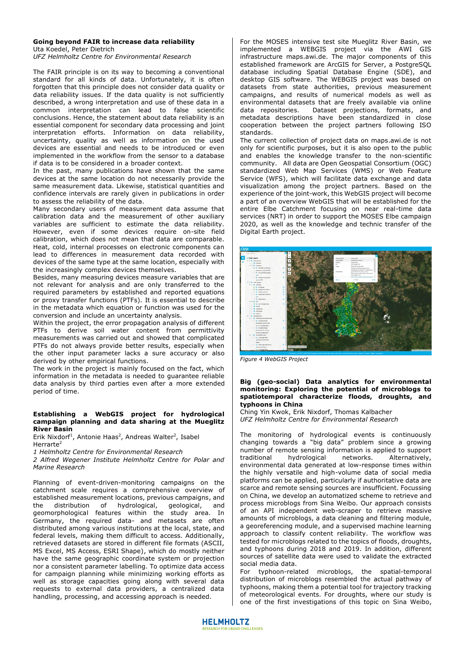#### **Going beyond FAIR to increase data reliability**  Uta Koedel, Peter Dietrich

*UFZ Helmholtz Centre for Environmental Research* 

The FAIR principle is on its way to becoming a conventional standard for all kinds of data. Unfortunately, it is often forgotten that this principle does not consider data quality or data reliability issues. If the data quality is not sufficiently described, a wrong interpretation and use of these data in a common interpretation can lead to false scientific conclusions. Hence, the statement about data reliability is an essential component for secondary data processing and joint interpretation efforts. Information on data reliability, uncertainty, quality as well as information on the used devices are essential and needs to be introduced or even implemented in the workflow from the sensor to a database if data is to be considered in a broader context.

In the past, many publications have shown that the same devices at the same location do not necessarily provide the same measurement data. Likewise, statistical quantities and confidence intervals are rarely given in publications in order to assess the reliability of the data.

Many secondary users of measurement data assume that calibration data and the measurement of other auxiliary variables are sufficient to estimate the data reliability. However, even if some devices require on-site field calibration, which does not mean that data are comparable. Heat, cold, internal processes on electronic components can lead to differences in measurement data recorded with devices of the same type at the same location, especially with the increasingly complex devices themselves.

Besides, many measuring devices measure variables that are not relevant for analysis and are only transferred to the required parameters by established and reported equations or proxy transfer functions (PTFs). It is essential to describe in the metadata which equation or function was used for the conversion and include an uncertainty analysis.

Within the project, the error propagation analysis of different PTFs to derive soil water content from permittivity measurements was carried out and showed that complicated PTFs do not always provide better results, especially when the other input parameter lacks a sure accuracy or also derived by other empirical functions.

The work in the project is mainly focused on the fact, which information in the metadata is needed to guarantee reliable data analysis by third parties even after a more extended period of time.

### **Establishing a WebGIS project for hydrological campaign planning and data sharing at the Mueglitz River Basin**

Erik Nixdorf<sup>1</sup>, Antonie Haas<sup>2</sup>, Andreas Walter<sup>2</sup>, Isabel Herrarte<sup>2</sup>

*1 Helmholtz Centre for Environmental Research* 

*2 Alfred Wegener Institute Helmholtz Centre for Polar and Marine Research* 

Planning of event-driven-monitoring campaigns on the catchment scale requires a comprehensive overview of established measurement locations, previous campaigns, and<br>the distribution of hydrological, geological, and the distribution of hydrological, geological, and geomorphological features within the study area. In Germany, the required data- and metasets are often distributed among various institutions at the local, state, and federal levels, making them difficult to access. Additionally, retrieved datasets are stored in different file formats (ASCII, MS Excel, MS Access, ESRI Shape), which do mostly neither have the same geographic coordinate system or projection nor a consistent parameter labelling. To optimize data access for campaign planning while minimizing working efforts as well as storage capacities going along with several data requests to external data providers, a centralized data handling, processing, and accessing approach is needed.

For the MOSES intensive test site Mueglitz River Basin, we implemented a WEBGIS project via the AWI GIS infrastructure maps.awi.de. The major components of this established framework are ArcGIS for Server, a PostgreSQL database including Spatial Database Engine (SDE), and desktop GIS software. The WEBGIS project was based on datasets from state authorities, previous measurement campaigns, and results of numerical models as well as environmental datasets that are freely available via online<br>data repositories. Dataset projections. formats. and Dataset projections, formats, and metadata descriptions have been standardized in close cooperation between the project partners following ISO standards.

The current collection of project data on maps.awi.de is not only for scientific purposes, but it is also open to the public and enables the knowledge transfer to the non-scientific community. All data are Open Geospatial Consortium (OGC) standardized Web Map Services (WMS) or Web Feature Service (WFS), which will facilitate data exchange and data visualization among the project partners. Based on the experience of the joint-work, this WebGIS project will become a part of an overview WebGIS that will be established for the entire Elbe Catchment focusing on near real-time data services (NRT) in order to support the MOSES Elbe campaign 2020, as well as the knowledge and technic transfer of the Digital Earth project.



*Figure 4 WebGIS Project*

## **Big (geo-social) Data analytics for environmental monitoring: Exploring the potential of microblogs to spatiotemporal characterize floods, droughts, and typhoons in China**

Ching Yin Kwok, Erik Nixdorf, Thomas Kalbacher *UFZ Helmholtz Centre for Environmental Research* 

The monitoring of hydrological events is continuously changing towards a "big data" problem since a growing number of remote sensing information is applied to support traditional hydrological networks. Alternatively, environmental data generated at low-response times within the highly versatile and high-volume data of social media platforms can be applied, particularly if authoritative data are scarce and remote sensing sources are insufficient. Focussing on China, we develop an automatized scheme to retrieve and process microblogs from Sina Weibo. Our approach consists of an API independent web-scraper to retrieve massive amounts of microblogs, a data cleaning and filtering module, a georeferencing module, and a supervised machine learning approach to classify content reliability. The workflow was tested for microblogs related to the topics of floods, droughts, and typhoons during 2018 and 2019. In addition, different sources of satellite data were used to validate the extracted social media data.

For typhoon-related microblogs, the spatial-temporal distribution of microblogs resembled the actual pathway of typhoons, making them a potential tool for trajectory tracking of meteorological events. For droughts, where our study is one of the first investigations of this topic on Sina Weibo,